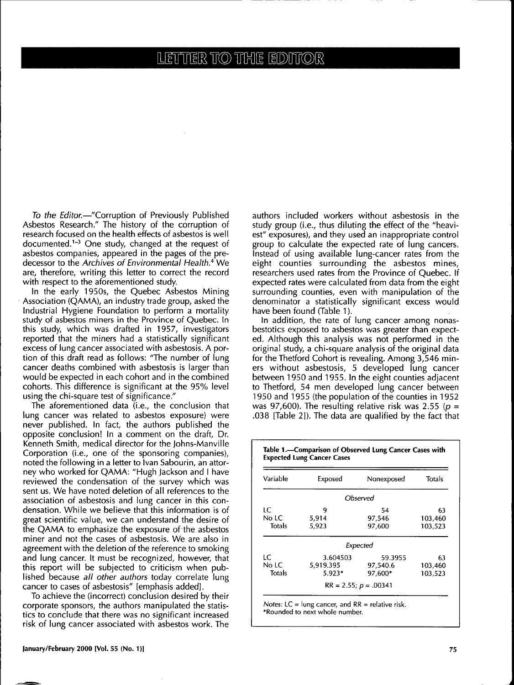To the Editor.—"Corruption of Previously Published Asbestos Research." The history of the corruption of research focused on the health effects of asbestos is well documented. $1-3$  One study, changed at the request of asbestos companies, appeared in the pages of the predecessor to the Archives of Environmental Health.<sup>4</sup> We are, therefore, writing this letter to correct the record with respect to the aforementioned study.

In the early 1950s, the Quebec Asbestos Mining Association (QAMA), an industry trade group, asked the Industrial Hygiene Foundation to perform a mortality study of asbestos miners in the Province of Quebec. In this study, which was drafted in 1957, investigators reported that the miners had a statistically significant excess of lung cancer associated with asbestosis. A portion of this draft read as follows: "The number of lung cancer deaths combined with asbestosis is larger than would be expected in each cohort and in the combined cohorts. This difference is significant at the 95% level using the chi-square test of significance."

The aforementioned data (i.e., the conclusion that lung cancer was related to asbestos exposure) were never published. In fact, the authors published the opposite conclusion! In a comment on the draft. Dr. Kenneth Smith, medical director for the Johns-Manville Corporation (i.e., one of the sponsoring companies), noted the following in a letter to Ivan Sabourin, an attorney who worked for QAMA: "Hugh Jackson and I have reviewed the condensation of the survey which was sent us. We have noted deletion of all references to the association of asbestosis and lung cancer in this condensation. While we believe that this information is of great scientific value, we can understand the desire of the QAMA to emphasize the exposure of the asbestos miner and not the cases of asbestosis. We are also in agreement with the deletion of the reference to smoking and lung cancer. It must be recognized, however, that this report will be subjected to criticism when published because all other authors today correlate lung cancer to cases of asbestosis" [emphasis added].

To achieve the (incorrect) conclusion desired by their corporate sponsors, the authors manipulated the statistics to conclude that there was no significant increased risk of lung cancer associated with asbestos work. The authors included workers without asbestosis in the study group (i.e., thus diluting the effect of the "heaviest" exposures), and they used an inappropriate control group to calculate the expected rate of lung cancers. Instead of using available lung-cancer rates from the eight counties surrounding the asbestos mines, researchers used rates from the Province of Quebec. If expected rates were calculated from data from the eight surrounding counties, even with manipulation of the denominator a statistically significant excess would have been found (Table 1).

In addition, the rate of lung cancer among nonasbestotics exposed to asbestos was greater than expected. Although this analysis was not performed in the original study, a chi-square analysis of the original data for the Thetford Cohort is revealing. Among 3,546 miners without asbestosis, 5 developed lung cancer between 1950 and 1955. In the eight counties adjacent to Thetford, 54 men developed lung cancer between 1950 and 1955 (the population of the counties in 1952 was 97,600). The resulting relative risk was 2.55 ( $p =$ .038 [Table 2]). The data are qualified by the fact that

| Variable      | Exposed   | Nonexposed | Totals  |
|---------------|-----------|------------|---------|
|               |           | Observed   |         |
| LC            | 9         | 54         | 63      |
| No LC         | 5,914     | 97,546     | 103,460 |
| <b>Totals</b> | 5,923     | 97.600     | 103.523 |
|               |           | Expected   |         |
| LC            | 3.604503  | 59.3955    | 63      |
| No LC         | 5.919.395 | 97,540.6   | 103,460 |
| Totals        | 5.923*    | 97.600*    | 103,523 |

Notes: LC = lung cancer, and RR = relative risk. \*Rounded to next whole number.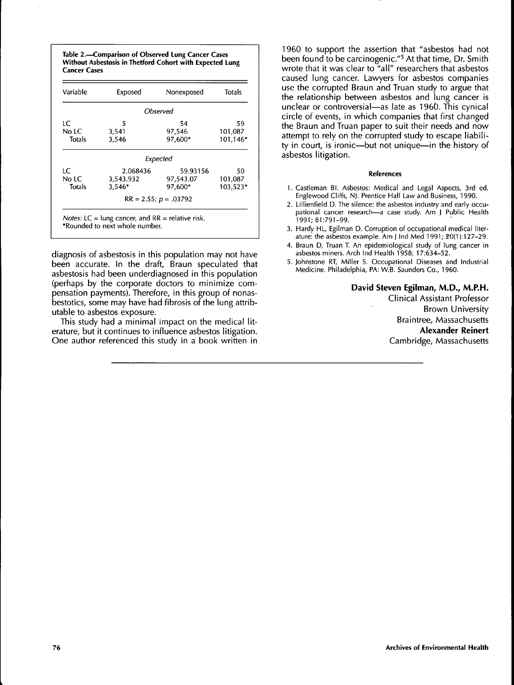| Table 2.-Comparison of Observed Lung Cancer Cases        |
|----------------------------------------------------------|
| Without Asbestosis in Thetford Cohort with Expected Lung |
| <b>Cancer Cases</b>                                      |

| Variable | Exposed   | Nonexposed              | Totals   |
|----------|-----------|-------------------------|----------|
|          |           | Observed                |          |
| LC       | 5         | 54                      | 59       |
| No LC    | 3,541     | 97,546                  | 101.087  |
| Totals   | 3.546     | 97,600*                 | 101.146* |
|          |           | Expected                |          |
| LC       | 2.068436  | 59.93156                | 50       |
| No LC    | 3.543.932 | 97.543.07               | 101,087  |
| Totals   | $3,546*$  | 97,600*                 | 103,523* |
|          |           | $RR = 2.55; p = .03792$ |          |

otes: LC = lung cancer, and RR = relative risk. \*Rounded to next whole number.

diagnosis of asbestosis in this population may not have been accurate. In the draft, Braun speculated that asbestosis had been underdiagnosed in this population (perhaps by the corporate doctors to minimize compensation payments). Therefore, in this group of nonasbestotics, some may have had fibrosis of the lung attributable to asbestos exposure.

This study had a minimal impact on the medical literature, but it continues to influence asbestos litigation. One author referenced this study in a book written in

1960 to support the assertion that "asbestos had not been found to be carcinogenic.″<sup>5</sup> At that time, Dr. Smith wrote that it was clear to "all" researchers that asbestos caused lung cancer. Lawyers for asbestos companies use the corrupted Braun and Truan study to argue that the relationship between asbestos and lung cancer is unclear or controversial—as late as 1960. This cynical circle of events, in which companies that first changed the Braun and Truan paper to suit their needs and now attempt to rely on the corrupted study to escape liability in court, is ironic—but not unique—in the history of asbestos litigation.

## **References**

- **1.** Castleman Bl. Asbestos: Medical and Legal Aspects, 3rd ed. Englewood Cliffs, NJ: Prentice Hall Law and Business, 1990.
- 2. Lillienfield D. The silence: the asbestos industry and early occupational cancer research—a case study. Am J Public Health 1991; 81:791-99.
- 3. Hardy HL, Egilman D. Corruption of occupational medical literature: the asbestos example. Am J Ind Med 1991; 20(1):127-29.
- 4. Braun D, Truan T. An epidemiological study of lung cancer in asbestos miners. Arch Ind Health 1958; 17:634-52.
- 5. Johnstone RT, Miller S. Occupational Diseases and Industrial Medicine. Philadelphia, PA: W.B. Saunders Co., 1960.

## **David Steven Egilman, M.D., M.P.H.**

Clinical Assistant Professor Brown University Braintree, Massachusetts **Alexander Reinert** Cambridge, Massachusetts